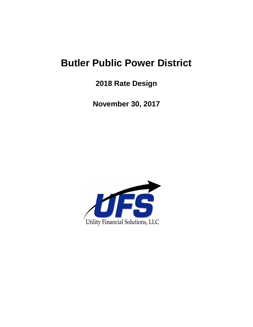# **Butler Public Power District**

**2018 Rate Design**

**November 30, 2017**

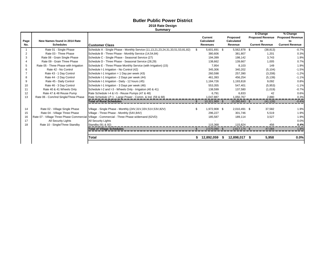|      |                                       |                                                                                             |     | Current         |    | Proposed      | \$ Change<br><b>Proposed Revenue</b> | % Change<br><b>Proposed Revenue</b> |
|------|---------------------------------------|---------------------------------------------------------------------------------------------|-----|-----------------|----|---------------|--------------------------------------|-------------------------------------|
| Page | New Names found in 2014 Rate          |                                                                                             |     | Calculated      |    | Calculated    | to                                   | to                                  |
| No.  | <b>Schedules</b>                      | <b>ICustomer Class</b>                                                                      |     | <b>Revenues</b> |    | Revenue       | <b>Current Revenue</b>               | <b>Current Revenue</b>              |
|      | Rate 01 - Single Phase                | Schedule A - Single Phase - Monthly Service (11,13,21,23,24,31,33,51,53,81,82)              | \$. | 5,601,691 \$    |    | 5,562,878 \$  | (38, 813)                            | $-0.7%$                             |
| 2    | Rate 03 - Three Phase                 | Schedule B - Three Phase - Monthly Service (14,54,84)                                       |     | 380,606         |    | 381,807       | 1,201                                | 0.3%                                |
| 3    | Rate 08 - Grain Single Phase          | Schedule C - Single Phase - Seasonal Service (27)                                           |     | 194,399         |    | 198,142       | 3,743                                | 1.9%                                |
|      | Rate 09 - Grain Three Phase           | Schedule D - Three Phase - Seasonal Service (28,29)                                         |     | 138,662         |    | 139,667       | 1,005                                | 0.7%                                |
| 5    | Rate 05 - Three Phase with Irrigation | Schedule E - Three Phase Monthly Service (with Irrigation) (15)                             |     | 7,954           |    | 8.103         | 149                                  | 1.9%                                |
| 6    | Rate 42 - No Control                  | Schedule I-1 Irrigation - No Control (42)                                                   |     | 345,306         |    | 340,202       | (5, 104)                             | $-1.5%$                             |
|      | Rate 43 - 1 Day Control               | Schedule I-1 Irrigation = 1 Day per week $(43)$                                             |     | 260,598         |    | 257,390       | (3,208)                              | $-1.2%$                             |
| 8    | Rate 44 - 2 Day Control               | Schedule I-1 Irrigation - 2 Days per week (44)                                              |     | 461,393         |    | 456,254       | (5, 139)                             | $-1.1%$                             |
| 9    | Rate 45 - Daily Control               | Schedule I-1 Irrigation - Daily - 12 hours (45)                                             |     | 1,184,726       |    | 1,193,818     | 9,092                                | 0.8%                                |
| 10   | Rate 46 - 3 Day Control               | Schedule I-1 Irrigation - 3 Days per week (46)                                              |     | 553,355         |    | 547.401       | (5,953)                              | $-1.1%$                             |
| 11   | Rate 40 & 41 Wheels Only              | Schedule I-2 and I-3 - Wheels Only - Irrigation (40 & 41)                                   |     | 138,599         |    | 137,580       | (1,019)                              | $-0.7%$                             |
| 12   | Rate 47 & 48 Reuse Pump               | Rate Schedule I-4 & I-5 - Reuse Pumps (47 & 48)                                             |     | 6.791           |    | 6.833         | 42                                   | 0.6%                                |
| 13   | Rate 06 - Com/Ind Single/Three Phase  | Rate Schedule LP-1 - Large Power - Comm. & Ind. (59 & 68)                                   |     | 1,047,887       |    | 1,050,767     | 2,880                                | 0.3%                                |
|      |                                       | <b>Total of Rural Schedules</b>                                                             | \$  | 10,321,969 \$   |    | 10,280,843 \$ | (41, 126)                            | $-0.4%$                             |
| 14   | Rate 02 - Village Single Phase        | Village - Single Phase - Monthly (24V, 31V, 33V, 51V, 53V, 82V)                             |     | 1,972,908 \$    |    | 2,010,491 \$  | 37,582                               | 1.9%                                |
| 15   | Rate 04 - Village Three Phase         | Village - Three Phase - Monthly (54V,84V)                                                   |     | 296,227         |    | 301,746       | 5,519                                | 1.9%                                |
| 16   |                                       | Rate 07 - Village Three Phase Commercial Village - Commercial - Three Phase w/demand (62VD) |     | 185,587         |    | 189,114       | 3,527                                | 1.9%                                |
| 17   | <b>All Security Lights</b>            | <b>All Security Lights</b>                                                                  |     |                 |    |               |                                      | 0.0%                                |
| 18   | Rate 10 - Single/Three Standby        | Standby (91 & 92)                                                                           |     | 115,368         |    | 115,824       | 456                                  | 0.4%                                |
|      |                                       | <b>Total of Village Schedules</b>                                                           |     | 2,570,090 \$    |    | 2.617.174 \$  | 47.084                               | 1.8%                                |
|      |                                       | Total                                                                                       | Т.  | 12,892,059      | 55 | 12,898,017    | 5,958<br>- 56                        | 0.0%                                |
|      |                                       |                                                                                             |     |                 |    |               |                                      |                                     |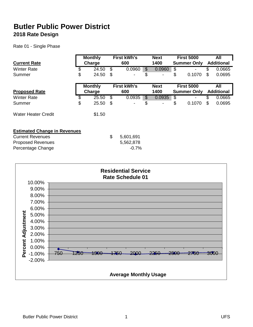Rate 01 - Single Phase

|                                     | <b>Monthly</b> |     | <b>First kWh's</b> |                | <b>Next</b> | <b>First 5000</b>  |     | All               |
|-------------------------------------|----------------|-----|--------------------|----------------|-------------|--------------------|-----|-------------------|
| <b>Current Rate</b>                 | Charge         |     | 600                |                | 1400        | <b>Summer Only</b> |     | <b>Additional</b> |
| <b>Winter Rate</b>                  | \$<br>24.50    | \$. | 0.0960             | \$             | 0.0960      | \$                 | \$. | 0.0665            |
| Summer                              | \$<br>24.50    | S   |                    | \$             |             | \$<br>0.1070       | \$  | 0.0695            |
|                                     | <b>Monthly</b> |     | <b>First kWh's</b> |                | <b>Next</b> | <b>First 5000</b>  |     | All               |
| <b>Proposed Rate</b>                | Charge         |     | 600                |                | 1400        | <b>Summer Only</b> |     | <b>Additional</b> |
| <b>Winter Rate</b>                  | \$<br>25.50    | \$  | 0.0935             | $\mathfrak{S}$ | 0.0935      | \$                 |     | 0.0665            |
| Summer                              | \$<br>25.50    | \$  |                    | \$             |             | \$<br>0.1070       | \$  | 0.0695            |
| <b>Water Heater Credit</b>          | \$1.50         |     |                    |                |             |                    |     |                   |
| <b>Estimated Change in Revenues</b> |                |     |                    |                |             |                    |     |                   |
| <b>Current Revenues</b>             |                | \$  | 5,601,691          |                |             |                    |     |                   |
| <b>Proposed Revenues</b>            |                |     | 5,562,878          |                |             |                    |     |                   |
| Percentage Change                   |                |     | $-0.7%$            |                |             |                    |     |                   |

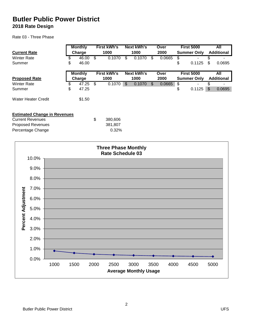Percentage Change **Districts** 20.32%

#### Rate 03 - Three Phase

| <b>Current Rate</b>                 | <b>Monthly</b><br>Charge |    | <b>First kWh's</b><br>1000 |    | <b>Next kWh's</b><br>1000 | Over<br>2000 |        | <b>First 5000</b><br><b>Summer Only</b> |                    | All<br><b>Additional</b> |                   |
|-------------------------------------|--------------------------|----|----------------------------|----|---------------------------|--------------|--------|-----------------------------------------|--------------------|--------------------------|-------------------|
| <b>Winter Rate</b>                  | \$<br>46.00              | \$ | 0.1070                     | \$ | 0.1070                    | \$           | 0.0665 | \$                                      |                    |                          |                   |
| Summer                              | \$<br>46.00              |    |                            |    |                           |              |        | \$                                      | 0.1125             | S                        | 0.0695            |
|                                     | <b>Monthly</b>           |    | <b>First kWh's</b>         |    | <b>Next kWh's</b>         |              | Over   |                                         | <b>First 5000</b>  |                          | All               |
| <b>Proposed Rate</b>                | Charge                   |    | 1000                       |    | 1000                      |              | 2000   |                                         | <b>Summer Only</b> |                          | <b>Additional</b> |
| <b>Winter Rate</b>                  | \$<br>47.25              | \$ | 0.1070                     | \$ | 0.1070                    | \$           | 0.0665 | \$                                      |                    |                          |                   |
| Summer                              | \$<br>47.25              |    |                            |    |                           |              |        | \$                                      | 0.1125             | \$                       | 0.0695            |
| Water Heater Credit                 | \$1.50                   |    |                            |    |                           |              |        |                                         |                    |                          |                   |
| <b>Estimated Change in Revenues</b> |                          |    |                            |    |                           |              |        |                                         |                    |                          |                   |
| <b>Current Revenues</b>             |                          | \$ | 380,606                    |    |                           |              |        |                                         |                    |                          |                   |
| <b>Proposed Revenues</b>            |                          |    | 381.807                    |    |                           |              |        |                                         |                    |                          |                   |

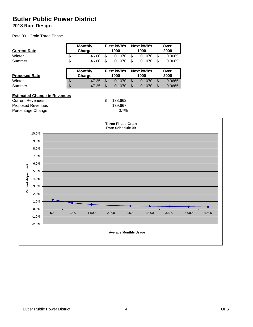Rate 09 - Grain Three Phase

| <b>Current Rate</b>                 |         |     |                          | <b>Monthly</b><br>Charge |                 | <b>First kWh's</b><br>1000                   |                 | <b>Next kWh's</b><br>1000 |                 | Over<br>2000 |       |       |
|-------------------------------------|---------|-----|--------------------------|--------------------------|-----------------|----------------------------------------------|-----------------|---------------------------|-----------------|--------------|-------|-------|
| Winter                              |         |     | \$                       | 46.00                    | $\overline{\$}$ | 0.1070                                       | $\overline{\$}$ | 0.1070                    | $\overline{\$}$ | 0.0665       |       |       |
| Summer                              |         |     | \$                       | 46.00                    | \$              | 0.1070                                       | $\mathfrak{S}$  | 0.1070                    | \$              | 0.0665       |       |       |
| <b>Proposed Rate</b>                |         |     |                          | <b>Monthly</b><br>Charge |                 | <b>First kWh's</b><br>1000                   |                 | <b>Next kWh's</b><br>1000 |                 | Over<br>2000 |       |       |
| Winter                              |         |     | $\overline{\mathcal{E}}$ | 47.25                    | $\overline{\$}$ | 0.1070                                       | $\overline{\$}$ | 0.1070                    | $\overline{\$}$ | 0.0665       |       |       |
| Summer                              |         |     | \$                       | 47.25                    | $\mathfrak{S}$  | 0.1070                                       | $\mathcal{S}$   | 0.1070                    | $\mathcal{L}$   | 0.0665       |       |       |
| <b>Estimated Change in Revenues</b> |         |     |                          |                          |                 |                                              |                 |                           |                 |              |       |       |
| <b>Current Revenues</b>             |         |     |                          |                          | \$              | 138,662                                      |                 |                           |                 |              |       |       |
| <b>Proposed Revenues</b>            |         |     |                          |                          |                 | 139,667                                      |                 |                           |                 |              |       |       |
| Percentage Change                   |         |     |                          |                          |                 | 0.7%                                         |                 |                           |                 |              |       |       |
|                                     |         |     |                          |                          |                 | <b>Three Phase Grain</b><br>Rate Schedule 09 |                 |                           |                 |              |       |       |
|                                     | 10.0%   |     |                          |                          |                 |                                              |                 |                           |                 |              |       |       |
|                                     | 9.0%    |     |                          |                          |                 |                                              |                 |                           |                 |              |       |       |
|                                     | 8.0%    |     |                          |                          |                 |                                              |                 |                           |                 |              |       |       |
|                                     | 7.0%    |     |                          |                          |                 |                                              |                 |                           |                 |              |       |       |
|                                     | 6.0%    |     |                          |                          |                 |                                              |                 |                           |                 |              |       |       |
|                                     |         |     |                          |                          |                 |                                              |                 |                           |                 |              |       |       |
|                                     | 5.0%    |     |                          |                          |                 |                                              |                 |                           |                 |              |       |       |
|                                     | 4.0%    |     |                          |                          |                 |                                              |                 |                           |                 |              |       |       |
| Percent Adjustment                  | 3.0%    |     |                          |                          |                 |                                              |                 |                           |                 |              |       |       |
|                                     | 2.0%    |     |                          |                          |                 |                                              |                 |                           |                 |              |       |       |
|                                     | 1.0%    |     |                          |                          |                 |                                              |                 |                           |                 |              |       |       |
|                                     |         |     |                          |                          |                 |                                              |                 |                           |                 |              |       |       |
|                                     | 0.0%    | 500 | 1,000                    | 1,500                    | 2,000           |                                              | 2,500           | 3,000                     |                 | 3,500        | 4,000 | 4,500 |
|                                     | $-1.0%$ |     |                          |                          |                 |                                              |                 |                           |                 |              |       |       |
|                                     | $-2.0%$ |     |                          |                          |                 |                                              |                 |                           |                 |              |       |       |
|                                     |         |     |                          |                          |                 | <b>Average Monthly Usage</b>                 |                 |                           |                 |              |       |       |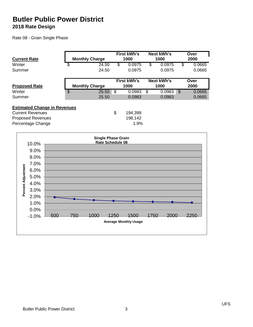Rate 08 - Grain Single Phase

|                                                                |                       | <b>First kWh's</b> | <b>Next kWh's</b> |               | Over   |
|----------------------------------------------------------------|-----------------------|--------------------|-------------------|---------------|--------|
| <b>Current Rate</b>                                            | <b>Monthly Charge</b> | 1000               | 1000              |               | 2000   |
| Winter                                                         | \$<br>24.50           | \$<br>0.0975       | \$<br>0.0975      | \$            | 0.0665 |
| Summer                                                         | 24.50                 | 0.0975             | 0.0975            |               | 0.0665 |
|                                                                |                       | <b>First kWh's</b> | Next kWh's        |               | Over   |
| <b>Proposed Rate</b>                                           | <b>Monthly Charge</b> | 1000               | 1000              |               | 2000   |
| Winter                                                         | \$<br>25.50           | \$<br>0.0983       | \$<br>0.0983      | $\mathcal{S}$ | 0.0665 |
| Summer                                                         | 25.50                 | 0.0983             | 0.0983            |               | 0.0665 |
| <b>Estimated Change in Revenues</b><br><b>Current Revenues</b> |                       |                    |                   |               |        |
|                                                                |                       | \$<br>194,399      |                   |               |        |
| <b>Proposed Revenues</b>                                       |                       | 198,142            |                   |               |        |
| Percentage Change                                              |                       | 1.9%               |                   |               |        |

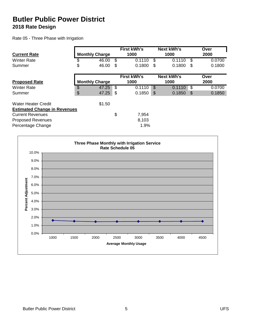Rate 05 - Three Phase with Irrigation

|                                     |                       | <b>First kWh's</b> |    | <b>Next kWh's</b> |               | Over   |
|-------------------------------------|-----------------------|--------------------|----|-------------------|---------------|--------|
| <b>Current Rate</b>                 | <b>Monthly Charge</b> | 1000               |    | 1000              |               | 2000   |
| <b>Winter Rate</b>                  | \$<br>46.00           | \$<br>0.1110       | S  | 0.1110            | \$            | 0.0700 |
| Summer                              | \$<br>46.00           | \$<br>0.1800       | S  | 0.1800            | S             | 0.1800 |
|                                     |                       | <b>First kWh's</b> |    | <b>Next kWh's</b> |               | Over   |
| <b>Proposed Rate</b>                | <b>Monthly Charge</b> | 1000               |    | 1000              |               | 2000   |
| <b>Winter Rate</b>                  | \$<br>47.25           | \$<br>0.1110       | \$ | 0.1110            | \$            | 0.0700 |
| Summer                              | \$<br>47.25           | \$<br>0.1850       | \$ | 0.1850            | $\mathcal{S}$ | 0.1850 |
| <b>Water Heater Credit</b>          | \$1.50                |                    |    |                   |               |        |
| <b>Estimated Change in Revenues</b> |                       |                    |    |                   |               |        |
| <b>Current Revenues</b>             |                       | \$<br>7,954        |    |                   |               |        |
| <b>Proposed Revenues</b>            |                       | 8,103              |    |                   |               |        |
| Percentage Change                   |                       | 1.9%               |    |                   |               |        |

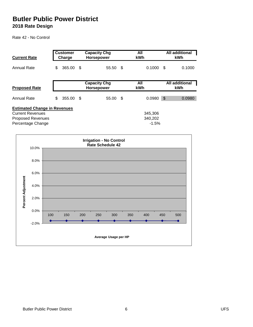Rate 42 - No Control

| <b>Current Rate</b>                                                                                             | <b>Customer</b><br>Charge |           |      | <b>Capacity Chg</b><br><b>Horsepower</b> | All<br><b>kWh</b>             | <b>All additional</b><br><b>kWh</b> |                              |  |
|-----------------------------------------------------------------------------------------------------------------|---------------------------|-----------|------|------------------------------------------|-------------------------------|-------------------------------------|------------------------------|--|
| <b>Annual Rate</b>                                                                                              | \$                        | 365.00 \$ |      | 55.50 \$                                 | 0.1000                        | - \$                                | 0.1000                       |  |
| <b>Proposed Rate</b>                                                                                            |                           |           |      | <b>Capacity Chg</b><br>Horsepower        | All<br><b>kWh</b>             |                                     | <b>All</b> additional<br>kWh |  |
| Annual Rate                                                                                                     | \$                        | 355.00    | - \$ | 55.00 \$                                 | 0.0980                        | $\mathfrak{S}$                      | 0.0980                       |  |
| <b>Estimated Change in Revenues</b><br><b>Current Revenues</b><br><b>Proposed Revenues</b><br>Percentage Change |                           |           |      |                                          | 345,306<br>340,202<br>$-1.5%$ |                                     |                              |  |

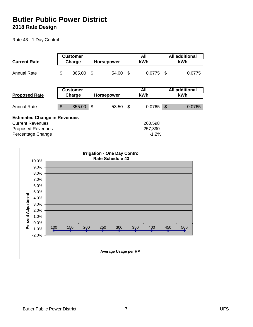Rate 43 - 1 Day Control

|                                     | <b>Customer</b> |                   |    | All         |      | <b>All additional</b> |
|-------------------------------------|-----------------|-------------------|----|-------------|------|-----------------------|
| <b>Current Rate</b>                 | Charge          | <b>Horsepower</b> |    | kWh         |      | kWh                   |
| <b>Annual Rate</b>                  | \$<br>365.00    | \$<br>54.00       | -S | 0.0775      | - \$ | 0.0775                |
|                                     | <b>Customer</b> |                   |    | All         |      | <b>All additional</b> |
| <b>Proposed Rate</b>                | Charge          | <b>Horsepower</b> |    | kWh         |      | kWh                   |
|                                     |                 |                   |    |             |      |                       |
| <b>Annual Rate</b>                  | \$<br>355.00    | \$<br>53.50       | \$ | $0.0765$ \$ |      | 0.0765                |
| <b>Estimated Change in Revenues</b> |                 |                   |    |             |      |                       |
| <b>Current Revenues</b>             |                 |                   |    | 260,598     |      |                       |
| <b>Proposed Revenues</b>            |                 |                   |    | 257,390     |      |                       |
| Percentage Change                   |                 |                   |    | $-1.2%$     |      |                       |

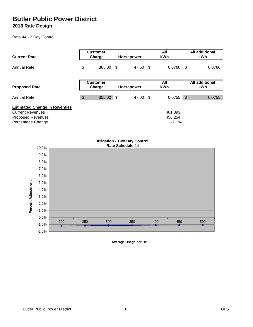Rate 44 - 2 Day Control

| <b>Current Rate</b>                                                                                             |               | <b>Customer</b><br>Charge | <b>Horsepower</b> | All<br>kWh                    |      | <b>All additional</b><br><b>kWh</b> |
|-----------------------------------------------------------------------------------------------------------------|---------------|---------------------------|-------------------|-------------------------------|------|-------------------------------------|
| <b>Annual Rate</b>                                                                                              |               | 365.00 \$                 | 47.50 \$          | 0.0760                        | - \$ | 0.0760                              |
| <b>Proposed Rate</b>                                                                                            |               | <b>Customer</b><br>Charge | <b>Horsepower</b> | All<br>kWh                    |      | <b>All additional</b><br><b>kWh</b> |
| <b>Annual Rate</b>                                                                                              | $\frac{1}{2}$ | 355.00 \$                 | 47.00 \$          | $0.0755$ \$                   |      | 0.0755                              |
| <b>Estimated Change in Revenues</b><br><b>Current Revenues</b><br><b>Proposed Revenues</b><br>Percentage Change |               |                           |                   | 461,393<br>456,254<br>$-1.1%$ |      |                                     |

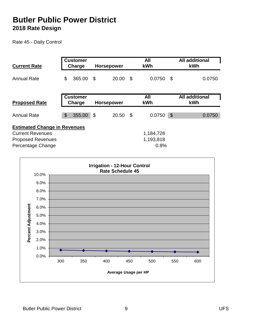Rate 45 - Daily Control

| <b>Current Rate</b>                 | <b>Customer</b><br>Charge | <b>Horsepower</b> |      | All<br><b>kWh</b> | <b>All additional</b><br>kWh |                              |  |
|-------------------------------------|---------------------------|-------------------|------|-------------------|------------------------------|------------------------------|--|
| <b>Annual Rate</b>                  | \$<br>365.00              | \$<br>20.00       | - \$ | 0.0750            | \$                           | 0.0750                       |  |
| <b>Proposed Rate</b>                | <b>Customer</b><br>Charge | <b>Horsepower</b> |      | All<br>kWh        |                              | <b>All additional</b><br>kWh |  |
|                                     |                           |                   |      |                   |                              |                              |  |
| <b>Annual Rate</b>                  | \$<br>355.00              | \$<br>20.50       | -\$  | 0.0750            | $\mathcal{S}$                | 0.0750                       |  |
| <b>Estimated Change in Revenues</b> |                           |                   |      |                   |                              |                              |  |
| <b>Current Revenues</b>             |                           |                   |      | 1,184,726         |                              |                              |  |
| <b>Proposed Revenues</b>            |                           |                   |      | 1,193,818         |                              |                              |  |
| Percentage Change                   |                           |                   |      | 0.8%              |                              |                              |  |

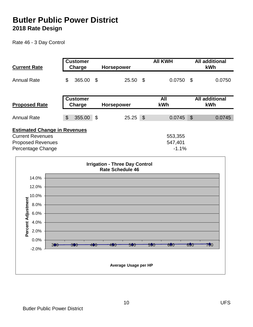Rate 46 - 3 Day Control

| <b>Current Rate</b>                                                                                             |                           | <b>Customer</b><br>Charge        |     | Horsepower                                                       |            | <b>AII KWH</b>                | <b>All additional</b><br>kWh |                              |  |
|-----------------------------------------------------------------------------------------------------------------|---------------------------|----------------------------------|-----|------------------------------------------------------------------|------------|-------------------------------|------------------------------|------------------------------|--|
| <b>Annual Rate</b>                                                                                              | $\boldsymbol{\mathsf{S}}$ | 365.00                           | \$  | 25.50 \$                                                         |            | 0.0750                        | $\mathfrak{F}$               | 0.0750                       |  |
| <b>Proposed Rate</b>                                                                                            |                           | <b>Customer</b><br><b>Charge</b> |     | <b>Horsepower</b>                                                |            | <b>All</b><br>kWh             |                              | <b>All additional</b><br>kWh |  |
| <b>Annual Rate</b>                                                                                              | $\mathcal{L}$             | 355.00                           | -\$ | 25.25                                                            | $\sqrt{3}$ | 0.0745                        | $\mathfrak{S}$               | 0.0745                       |  |
| <b>Estimated Change in Revenues</b><br><b>Current Revenues</b><br><b>Proposed Revenues</b><br>Percentage Change |                           |                                  |     | <b>Irrigation - Three Day Control</b><br><b>Rate Schedule 46</b> |            | 553,355<br>547,401<br>$-1.1%$ |                              |                              |  |
| 14.0%                                                                                                           |                           |                                  |     |                                                                  |            |                               |                              |                              |  |
| 12.0%                                                                                                           |                           |                                  |     |                                                                  |            |                               |                              |                              |  |
| 10.0%                                                                                                           |                           |                                  |     |                                                                  |            |                               |                              |                              |  |
| 8.0%                                                                                                            |                           |                                  |     |                                                                  |            |                               |                              |                              |  |
| 6.0%                                                                                                            |                           |                                  |     |                                                                  |            |                               |                              |                              |  |
| 4.0%                                                                                                            |                           |                                  |     |                                                                  |            |                               |                              |                              |  |
| Percent Adjustment<br>2.0%                                                                                      |                           |                                  |     |                                                                  |            |                               |                              |                              |  |

-2.0% 0.0%

300 350 400 450 500 550 600 650 700

**Average Usage per HP**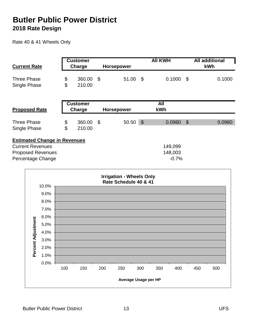Rate 40 & 41 Wheels Only

| <b>Current Rate</b>                                                                                             |          | <b>Customer</b><br>Charge | <b>Horsepower</b> | <b>AII KWH</b> |                               |               | <b>All additional</b><br>kWh |  |  |
|-----------------------------------------------------------------------------------------------------------------|----------|---------------------------|-------------------|----------------|-------------------------------|---------------|------------------------------|--|--|
| <b>Three Phase</b><br>Single Phase                                                                              | \$<br>\$ | 360.00<br>210.00          | \$<br>51.00       | -\$            | 0.1000                        | \$            | 0.1000                       |  |  |
| <b>Proposed Rate</b>                                                                                            |          | <b>Customer</b><br>Charge | Horsepower        |                | <b>All</b><br>kWh             |               |                              |  |  |
| <b>Three Phase</b><br>Single Phase                                                                              | \$<br>\$ | 360.00<br>210.00          | \$<br>50.50       | $\sqrt{3}$     | 0.0980                        | $\mathcal{L}$ | 0.0980                       |  |  |
| <b>Estimated Change in Revenues</b><br><b>Current Revenues</b><br><b>Proposed Revenues</b><br>Percentage Change |          |                           |                   |                | 149,099<br>148,003<br>$-0.7%$ |               |                              |  |  |

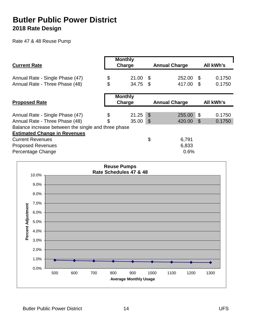Rate 47 & 48 Reuse Pump

| <b>Current Rate</b>                                 | <b>Monthly</b><br>Charge |                            | <b>Annual Charge</b> |     | <b>All kWh's</b> |
|-----------------------------------------------------|--------------------------|----------------------------|----------------------|-----|------------------|
| Annual Rate - Single Phase (47)                     | \$<br>21.00              | \$                         | 252.00               | \$  | 0.1750           |
| Annual Rate - Three Phase (48)                      | \$<br>34.75              | -\$                        | 417.00               | \$  | 0.1750           |
|                                                     | <b>Monthly</b>           |                            |                      |     |                  |
| <b>Proposed Rate</b>                                | Charge                   |                            | <b>Annual Charge</b> |     | <b>All kWh's</b> |
|                                                     |                          |                            |                      |     |                  |
| Annual Rate - Single Phase (47)                     | \$<br>21.25              | $\boldsymbol{\mathcal{S}}$ | 255.00               | \$  | 0.1750           |
| Annual Rate - Three Phase (48)                      | \$<br>35.00              | $\boldsymbol{\mathsf{\$}}$ | 420.00               | \$. | 0.1750           |
| Balance increase between the single and three phase |                          |                            |                      |     |                  |
| <b>Estimated Change in Revenues</b>                 |                          |                            |                      |     |                  |
| <b>Current Revenues</b>                             |                          | \$                         | 6,791                |     |                  |
| <b>Proposed Revenues</b>                            |                          |                            | 6,833                |     |                  |
| Percentage Change                                   |                          |                            | 0.6%                 |     |                  |

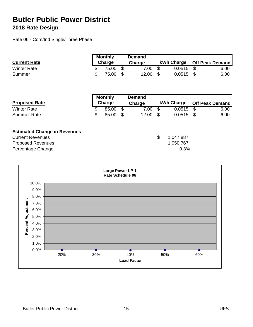Rate 06 - Com/Ind Single/Three Phase

| <b>Current Rate</b> | <b>Monthly</b><br><b>Charge</b> |          | <b>Demand</b><br><b>Charge</b> |       |  | kWh Charge  | Off Peak Demand |      |  |
|---------------------|---------------------------------|----------|--------------------------------|-------|--|-------------|-----------------|------|--|
| <b>Winter Rate</b>  |                                 | 75.00 \$ |                                | 7.00  |  | $0.0515$ \$ |                 | 6.00 |  |
| Summer              | \$                              | 75.00 \$ |                                | 12.00 |  | $0.0515$ \$ |                 | 6.00 |  |

|                                     | <b>Monthly</b> |      | <b>Demand</b> |                 |      |                        |
|-------------------------------------|----------------|------|---------------|-----------------|------|------------------------|
| <b>Proposed Rate</b>                | Charge         |      | Charge        | kWh Charge      |      | <b>Off Peak Demand</b> |
| <b>Winter Rate</b>                  | \$<br>85.00    | \$   | 7.00          | \$<br>0.0515    | \$   | 6.00                   |
| <b>Summer Rate</b>                  | \$<br>85.00    | - \$ | 12.00         | \$<br>0.0515    | - \$ | 6.00                   |
| <b>Estimated Change in Revenues</b> |                |      |               |                 |      |                        |
| <b>Current Revenues</b>             |                |      |               | \$<br>1,047,887 |      |                        |
| <b>Proposed Revenues</b>            |                |      |               | 1,050,767       |      |                        |
| Percentage Change                   |                |      |               | 0.3%            |      |                        |

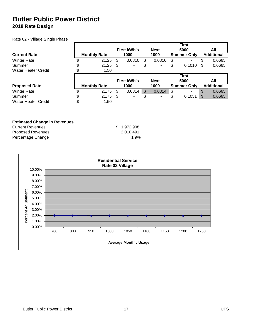Rate 02 - Village Single Phase

|                      |                     |       |     |                    |              |     | <b>First</b>       |    |                   |
|----------------------|---------------------|-------|-----|--------------------|--------------|-----|--------------------|----|-------------------|
|                      |                     |       |     | <b>First kWh's</b> | <b>Next</b>  |     | 5000               |    | All               |
| <b>Current Rate</b>  | <b>Monthly Rate</b> |       |     | 1000               | 1000         |     | <b>Summer Only</b> |    | <b>Additional</b> |
| <b>Winter Rate</b>   |                     | 21.25 | S   | 0.0810             | \$<br>0.0810 | \$  | ٠                  |    | 0.0665            |
| Summer               | \$                  | 21.25 | \$  | ۰                  | \$<br>۰      | \$  | 0.1010             | S  | 0.0665            |
| Water Heater Credit  |                     | 1.50  |     |                    |              |     |                    |    |                   |
|                      |                     |       |     |                    |              |     | <b>First</b>       |    |                   |
|                      |                     |       |     |                    |              |     |                    |    |                   |
|                      |                     |       |     | <b>First kWh's</b> | <b>Next</b>  |     | 5000               |    | All               |
| <b>Proposed Rate</b> | <b>Monthly Rate</b> |       |     | 1000               | 1000         |     | <b>Summer Only</b> |    | <b>Additional</b> |
| <b>Winter Rate</b>   |                     | 21.75 | S   | 0.0814             | \$<br>0.0814 | \$. | ۰                  | \$ | 0.0665            |
| Summer               | \$                  | 21.75 | \$. | -                  | \$<br>۰      | \$  | 0.1051             | \$ | 0.0665            |

#### **Estimated Change in Revenues**

| <b>Current Revenues</b>  | \$1,972,908 |
|--------------------------|-------------|
| <b>Proposed Revenues</b> | 2.010.491   |
| Percentage Change        | 1.9%        |

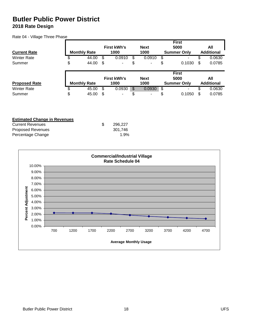Rate 04 - Village Three Phase

|                      |                     |                    |              | <b>First</b>       |    |                   |
|----------------------|---------------------|--------------------|--------------|--------------------|----|-------------------|
|                      |                     | <b>First kWh's</b> | <b>Next</b>  | 5000               |    | All               |
| <b>Current Rate</b>  | <b>Monthly Rate</b> | 1000               | 1000         | <b>Summer Only</b> |    | <b>Additional</b> |
| <b>Winter Rate</b>   | \$<br>44.00         | \$<br>0.0910       | \$<br>0.0910 | \$<br>۰.           | D  | 0.0630            |
| Summer               | \$<br>44.00         | \$<br>۰            | \$           | \$<br>0.1030       | \$ | 0.0785            |
|                      |                     |                    |              | <b>First</b>       |    |                   |
|                      |                     |                    |              |                    |    |                   |
|                      |                     | <b>First kWh's</b> | <b>Next</b>  | 5000               |    | All               |
| <b>Proposed Rate</b> | <b>Monthly Rate</b> | 1000               | 1000         | <b>Summer Only</b> |    | <b>Additional</b> |
| <b>Winter Rate</b>   | \$<br>45.00         | \$<br>0.0930       | \$<br>0.0930 | \$                 | S  | 0.0630            |

|  | <b>Estimated Change in Revenues</b> |  |
|--|-------------------------------------|--|
|  |                                     |  |

| <b>Current Revenues</b>  | 296.227 |
|--------------------------|---------|
| <b>Proposed Revenues</b> | 301.746 |
| Percentage Change        | 1.9%    |